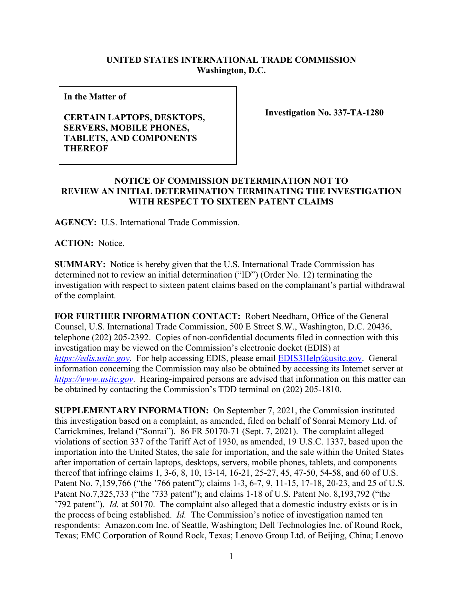## **UNITED STATES INTERNATIONAL TRADE COMMISSION Washington, D.C.**

**In the Matter of** 

## **CERTAIN LAPTOPS, DESKTOPS, SERVERS, MOBILE PHONES, TABLETS, AND COMPONENTS THEREOF**

**Investigation No. 337-TA-1280**

## **NOTICE OF COMMISSION DETERMINATION NOT TO REVIEW AN INITIAL DETERMINATION TERMINATING THE INVESTIGATION WITH RESPECT TO SIXTEEN PATENT CLAIMS**

**AGENCY:** U.S. International Trade Commission.

**ACTION:** Notice.

**SUMMARY:** Notice is hereby given that the U.S. International Trade Commission has determined not to review an initial determination ("ID") (Order No. 12) terminating the investigation with respect to sixteen patent claims based on the complainant's partial withdrawal of the complaint.

**FOR FURTHER INFORMATION CONTACT:** Robert Needham, Office of the General Counsel, U.S. International Trade Commission, 500 E Street S.W., Washington, D.C. 20436, telephone (202) 205-2392. Copies of non-confidential documents filed in connection with this investigation may be viewed on the Commission's electronic docket (EDIS) at *[https://edis.usitc.gov](https://edis.usitc.gov/).* For help accessing EDIS, please email [EDIS3Help@usitc.gov.](mailto:EDIS3Help@usitc.gov) General information concerning the Commission may also be obtained by accessing its Internet server at *[https://www.usitc.gov](https://www.usitc.gov/)*. Hearing-impaired persons are advised that information on this matter can be obtained by contacting the Commission's TDD terminal on (202) 205-1810.

**SUPPLEMENTARY INFORMATION:** On September 7, 2021, the Commission instituted this investigation based on a complaint, as amended, filed on behalf of Sonrai Memory Ltd. of Carrickmines, Ireland ("Sonrai"). 86 FR 50170-71 (Sept. 7, 2021). The complaint alleged violations of section 337 of the Tariff Act of 1930, as amended, 19 U.S.C. 1337, based upon the importation into the United States, the sale for importation, and the sale within the United States after importation of certain laptops, desktops, servers, mobile phones, tablets, and components thereof that infringe claims 1, 3-6, 8, 10, 13-14, 16-21, 25-27, 45, 47-50, 54-58, and 60 of U.S. Patent No. 7,159,766 ("the '766 patent"); claims 1-3, 6-7, 9, 11-15, 17-18, 20-23, and 25 of U.S. Patent No.7,325,733 ("the '733 patent"); and claims 1-18 of U.S. Patent No. 8,193,792 ("the '792 patent"). *Id.* at 50170. The complaint also alleged that a domestic industry exists or is in the process of being established. *Id.* The Commission's notice of investigation named ten respondents: Amazon.com Inc. of Seattle, Washington; Dell Technologies Inc. of Round Rock, Texas; EMC Corporation of Round Rock, Texas; Lenovo Group Ltd. of Beijing, China; Lenovo